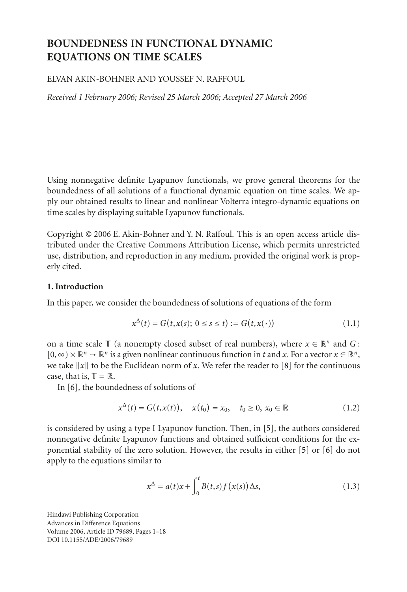# **BOUNDEDNESS IN FUNCTIONAL DYNAMIC EQUATIONS ON TIME SCALES**

## ELVAN AKIN-BOHNER AND YOUSSEF N. RAFFOUL

*Received 1 February 2006; Revised 25 March 2006; Accepted 27 March 2006*

Using nonnegative definite Lyapunov functionals, we prove general theorems for the boundedness of all solutions of a functional dynamic equation on time scales. We apply our obtained results to linear and nonlinear Volterra integro-dynamic equations on time scales by displaying suitable Lyapunov functionals.

Copyright © 2006 E. Akin-Bohner and Y. N. Raffoul. This is an open access article distributed under the Creative Commons Attribution License, which permits unrestricted use, distribution, and reproduction in any medium, provided the original work is properly cited.

### **1. Introduction**

In this paper, we consider the boundedness of solutions of equations of the form

<span id="page-0-1"></span>
$$
x^{\Delta}(t) = G(t, x(s); 0 \le s \le t) := G(t, x(\cdot))
$$
\n(1.1)

on a time scale  $\mathbb{T}$  (a nonempty closed subset of real numbers), where  $x \in \mathbb{R}^n$  and G:  $[0, \infty) \times \mathbb{R}^n \to \mathbb{R}^n$  is a given nonlinear continuous function in *t* and *x*. For a vector  $x \in \mathbb{R}^n$ , we take  $||x||$  to be the Euclidean norm of x. We refer the reader to [\[8\]](#page-17-0) for the continuous case, that is,  $\mathbb{T} = \mathbb{R}$ .

In [\[6\]](#page-17-1), the boundedness of solutions of

$$
x^{\Delta}(t) = G(t, x(t)), \quad x(t_0) = x_0, \quad t_0 \ge 0, \ x_0 \in \mathbb{R}
$$
 (1.2)

is considered by using a type I Lyapunov function. Then, in [\[5](#page-17-2)], the authors considered nonnegative definite Lyapunov functions and obtained sufficient conditions for the exponential stability of the zero solution. However, the results in either [\[5\]](#page-17-2) or [\[6](#page-17-1)] do not apply to the equations similar to

<span id="page-0-0"></span>
$$
x^{\Delta} = a(t)x + \int_0^t B(t,s)f(x(s))\Delta s, \qquad (1.3)
$$

Hindawi Publishing Corporation Advances in Difference Equations Volume 2006, Article ID 79689, Pages 1[–18](#page-17-3) DOI 10.1155/ADE/2006/79689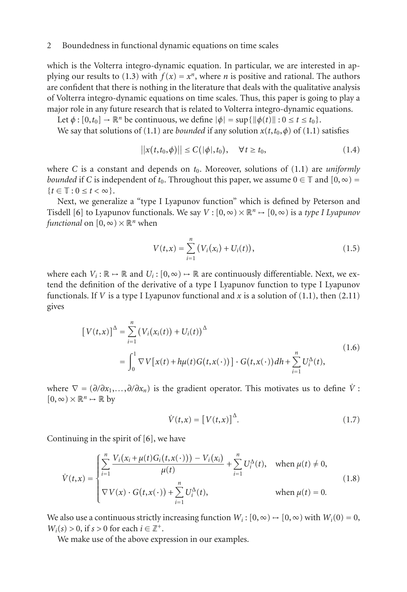which is the Volterra integro-dynamic equation. In particular, we are interested in ap-plying our results to [\(1.3\)](#page-0-0) with  $f(x) = x^n$ , where *n* is positive and rational. The authors are confident that there is nothing in the literature that deals with the qualitative analysis of Volterra integro-dynamic equations on time scales. Thus, this paper is going to play a major role in any future research that is related to Volterra integro-dynamic equations.

Let  $\phi$ :  $[0, t_0] \rightarrow \mathbb{R}^n$  be continuous, we define  $|\phi| = \sup{\{\|\phi(t)\| : 0 \le t \le t_0\}}$ .

We say that solutions of [\(1.1\)](#page-0-1) are *bounded* if any solution  $x(t, t_0, \phi)$  of (1.1) satisfies

$$
||x(t,t_0,\phi)|| \le C(|\phi|,t_0), \quad \forall t \ge t_0,
$$
\n(1.4)

where *C* is a constant and depends on  $t_0$ . Moreover, solutions of [\(1.1\)](#page-0-1) are *uniformly bounded* if *C* is independent of  $t_0$ . Throughout this paper, we assume  $0 \in \mathbb{T}$  and  $[0, \infty)$  =  ${t \in \mathbb{T} : 0 \le t < \infty}.$ 

Next, we generalize a "type I Lyapunov function" which is defined by Peterson and Tisdell [\[6](#page-17-1)] to Lyapunov functionals. We say  $V : [0, \infty) \times \mathbb{R}^n \to [0, \infty)$  is a *type I Lyapunov functional* on  $[0, \infty) \times \mathbb{R}^n$  when

$$
V(t,x) = \sum_{i=1}^{n} (V_i(x_i) + U_i(t)),
$$
\n(1.5)

where each  $V_i: \mathbb{R} \to \mathbb{R}$  and  $U_i: [0, \infty) \to \mathbb{R}$  are continuously differentiable. Next, we extend the definition of the derivative of a type I Lyapunov function to type I Lyapunov functionals. If *V* is a type I Lyapunov functional and *x* is a solution of [\(1.1\)](#page-0-1), then [\(2.11\)](#page-3-0) gives

$$
\begin{aligned} \left[ V(t,x) \right]^{\Delta} &= \sum_{i=1}^{n} \left( V_i(x_i(t)) + U_i(t) \right)^{\Delta} \\ &= \int_0^1 \nabla V \left[ x(t) + h\mu(t) G(t, x(\cdot)) \right] \cdot G(t, x(\cdot)) \, dh + \sum_{i=1}^{n} U_i^{\Delta}(t), \end{aligned} \tag{1.6}
$$

where  $\nabla = (\partial/\partial x_1,\ldots,\partial/\partial x_n)$  is the gradient operator. This motivates us to define  $\dot{V}$ :  $[0,\infty)\times\mathbb{R}^n\mapsto\mathbb{R}$  by

$$
\dot{V}(t,x) = \left[V(t,x)\right]^{\Delta}.\tag{1.7}
$$

Continuing in the spirit of [\[6\]](#page-17-1), we have

$$
\dot{V}(t,x) = \begin{cases}\n\sum_{i=1}^{n} \frac{V_i(x_i + \mu(t)G_i(t,x(\cdot))) - V_i(x_i)}{\mu(t)} + \sum_{i=1}^{n} U_i^{\Delta}(t), & \text{when } \mu(t) \neq 0, \\
\nabla V(x) \cdot G(t,x(\cdot)) + \sum_{i=1}^{n} U_i^{\Delta}(t), & \text{when } \mu(t) = 0.\n\end{cases}
$$
\n(1.8)

We also use a continuous strictly increasing function  $W_i$ :  $[0, \infty) \rightarrow [0, \infty)$  with  $W_i(0) = 0$ ,  $W_i(s) > 0$ , if  $s > 0$  for each  $i \in \mathbb{Z}^+$ .

We make use of the above expression in our examples.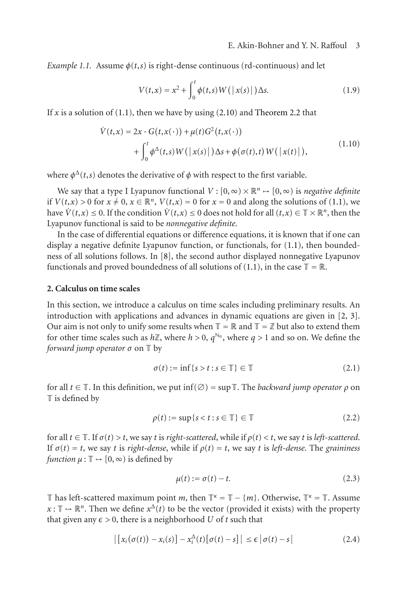*Example 1.1.* Assume  $\phi(t,s)$  is right-dense continuous (rd-continuous) and let

$$
V(t,x) = x^2 + \int_0^t \phi(t,s)W(|x(s)|)\Delta s. \tag{1.9}
$$

If  $x$  is a solution of  $(1.1)$ , then we have by using  $(2.10)$  and [Theorem 2.2](#page-3-2) that

$$
\dot{V}(t,x) = 2x \cdot G(t,x(\cdot)) + \mu(t)G^2(t,x(\cdot))
$$
  
+ 
$$
\int_0^t \phi^{\Delta}(t,s)W(|x(s)|)\Delta s + \phi(\sigma(t),t)W(|x(t)|),
$$
 (1.10)

where  $\phi^{\Delta}(t,s)$  denotes the derivative of  $\phi$  with respect to the first variable.

We say that a type I Lyapunov functional  $V : [0, \infty) \times \mathbb{R}^n \to [0, \infty)$  is *negative definite* if  $V(t,x) > 0$  for  $x \neq 0$ ,  $x \in \mathbb{R}^n$ ,  $V(t,x) = 0$  for  $x = 0$  and along the solutions of [\(1.1\)](#page-0-1), we have  $\dot{V}(t,x) \leq 0$ . If the condition  $\dot{V}(t,x) \leq 0$  does not hold for all  $(t,x) \in \mathbb{T} \times \mathbb{R}^n$ , then the Lyapunov functional is said to be *nonnegative definite*.

In the case of differential equations or difference equations, it is known that if one can display a negative definite Lyapunov function, or functionals, for [\(1.1\)](#page-0-1), then boundedness of all solutions follows. In [\[8](#page-17-0)], the second author displayed nonnegative Lyapunov functionals and proved boundedness of all solutions of [\(1.1\)](#page-0-1), in the case  $\mathbb{T} = \mathbb{R}$ .

#### **2. Calculus on time scales**

In this section, we introduce a calculus on time scales including preliminary results. An introduction with applications and advances in dynamic equations are given in [\[2](#page-17-4), [3\]](#page-17-5). Our aim is not only to unify some results when  $\mathbb{T} = \mathbb{R}$  and  $\mathbb{T} = \mathbb{Z}$  but also to extend them for other time scales such as  $h\mathbb{Z}$ , where  $h > 0$ ,  $q^{\mathbb{N}_0}$ , where  $q > 1$  and so on. We define the *forward jump operator σ* on T by

$$
\sigma(t) := \inf\{s > t : s \in \mathbb{T}\} \in \mathbb{T} \tag{2.1}
$$

for all  $t \in \mathbb{T}$ . In this definition, we put inf $(\emptyset)$  = sup  $\mathbb{T}$ . The *backward jump operator*  $\rho$  on  $\mathbb T$  is defined by

$$
\rho(t) := \sup\{s < t : s \in \mathbb{T}\} \in \mathbb{T} \tag{2.2}
$$

for all  $t \in \mathbb{T}$ . If  $\sigma(t) > t$ , we say t is *right-scattered*, while if  $\rho(t) < t$ , we say t is *left-scattered*. If  $\sigma(t) = t$ , we say *t* is *right-dense*, while if  $\rho(t) = t$ , we say *t* is *left-dense*. The *graininess function*  $\mu : \mathbb{T} \to [0, \infty)$  *is defined by* 

$$
\mu(t) := \sigma(t) - t. \tag{2.3}
$$

T has left-scattered maximum point *m*, then  $\mathbb{T}^k = \mathbb{T} - \{m\}$ . Otherwise,  $\mathbb{T}^k = \mathbb{T}$ . Assume  $x: \mathbb{T} \to \mathbb{R}^n$ . Then we define  $x^{\Delta}(t)$  to be the vector (provided it exists) with the property that given any  $\epsilon > 0$ , there is a neighborhood U of t such that

$$
\left| \left[ x_i(\sigma(t)) - x_i(s) \right] - x_i^{\Delta}(t) \left[ \sigma(t) - s \right] \right| \leq \epsilon \left| \sigma(t) - s \right| \tag{2.4}
$$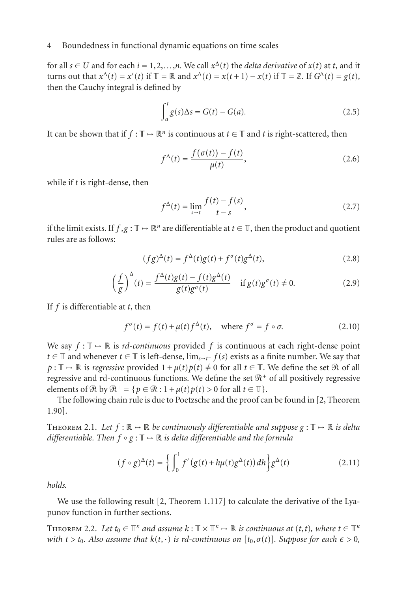for all  $s \in U$  and for each  $i = 1, 2, ..., n$ . We call  $x^{\Delta}(t)$  the *delta derivative* of  $x(t)$  at *t*, and it turns out that  $x^{\Delta}(t) = x'(t)$  if  $\mathbb{T} = \mathbb{R}$  and  $x^{\Delta}(t) = x(t+1) - x(t)$  if  $\mathbb{T} = \mathbb{Z}$ . If  $G^{\Delta}(t) = g(t)$ , then the Cauchy integral is defined by

$$
\int_{a}^{t} g(s) \Delta s = G(t) - G(a). \tag{2.5}
$$

It can be shown that if  $f : \mathbb{T} \to \mathbb{R}^n$  is continuous at  $t \in \mathbb{T}$  and *t* is right-scattered, then

$$
f^{\Delta}(t) = \frac{f(\sigma(t)) - f(t)}{\mu(t)},
$$
\n(2.6)

while if *t* is right-dense, then

<span id="page-3-3"></span>
$$
f^{\Delta}(t) = \lim_{s \to t} \frac{f(t) - f(s)}{t - s},
$$
\n(2.7)

if the limit exists. If  $f, g : \mathbb{T} \to \mathbb{R}^n$  are differentiable at  $t \in \mathbb{T}$ , then the product and quotient rules are as follows:

<span id="page-3-1"></span>
$$
(fg)^{\Delta}(t) = f^{\Delta}(t)g(t) + f^{\sigma}(t)g^{\Delta}(t),
$$
\n(2.8)

$$
\left(\frac{f}{g}\right)^{\Delta}(t) = \frac{f^{\Delta}(t)g(t) - f(t)g^{\Delta}(t)}{g(t)g^{\sigma}(t)} \quad \text{if } g(t)g^{\sigma}(t) \neq 0. \tag{2.9}
$$

If *f* is differentiable at *t*, then

$$
f^{\sigma}(t) = f(t) + \mu(t)f^{\Delta}(t), \quad \text{where } f^{\sigma} = f \circ \sigma.
$$
 (2.10)

We say  $f: \mathbb{T} \to \mathbb{R}$  is *rd-continuous* provided f is continuous at each right-dense point *t* ∈ T and whenever *t* ∈ T is left-dense,  $\lim_{s \to t^-} f(s)$  exists as a finite number. We say that  $p: \mathbb{T} \to \mathbb{R}$  is *regressive* provided  $1 + \mu(t)p(t) \neq 0$  for all  $t \in \mathbb{T}$ . We define the set  $\Re$  of all regressive and rd-continuous functions. We define the set  $\Re^+$  of all positively regressive elements of  $\mathcal{R}$  by  $\mathcal{R}^+ = \{p \in \mathcal{R} : 1 + \mu(t)p(t) > 0 \text{ for all } t \in \mathbb{T}\}.$ 

The following chain rule is due to Poetzsche and the proof can be found in [\[2](#page-17-4), Theorem 1.90].

THEOREM 2.1. Let  $f : \mathbb{R} \to \mathbb{R}$  be continuously differentiable and suppose  $g : \mathbb{T} \to \mathbb{R}$  is delta *differentiable. Then f* ◦ *g* : T → R *is delta differentiable and the formula*

<span id="page-3-0"></span>
$$
(f \circ g)^{\Delta}(t) = \left\{ \int_0^1 f'(g(t) + h\mu(t)g^{\Delta}(t))dh \right\} g^{\Delta}(t)
$$
 (2.11)

*holds.*

<span id="page-3-2"></span>We use the following result [\[2,](#page-17-4) Theorem 1.117] to calculate the derivative of the Lyapunov function in further sections.

**THEOREM** 2.2. Let  $t_0 \in \mathbb{T}^k$  *and assume*  $k : \mathbb{T} \times \mathbb{T}^k \rightarrow \mathbb{R}$  *is continuous at*  $(t, t)$ *, where*  $t \in \mathbb{T}^k$ *with*  $t > t_0$ . Also assume that  $k(t, \cdot)$  *is rd-continuous on*  $[t_0, \sigma(t)]$ . Suppose for each  $\epsilon > 0$ ,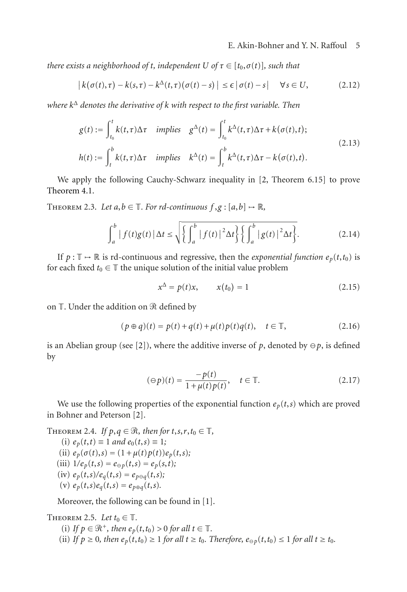*there exists a neighborhood of t, independent*  $U$  *of*  $\tau \in [t_0, \sigma(t)]$ *, such that* 

$$
\left| k(\sigma(t), \tau) - k(s, \tau) - k^{\Delta}(t, \tau) (\sigma(t) - s) \right| \leq \epsilon \left| \sigma(t) - s \right| \quad \forall s \in U,
$$
\n(2.12)

*where k*<sup>Δ</sup> *denotes the derivative of k with respect to the first variable. Then*

$$
g(t) := \int_{t_0}^t k(t, \tau) \Delta \tau \quad implies \quad g^{\Delta}(t) = \int_{t_0}^t k^{\Delta}(t, \tau) \Delta \tau + k(\sigma(t), t);
$$
  
\n
$$
h(t) := \int_t^b k(t, \tau) \Delta \tau \quad implies \quad k^{\Delta}(t) = \int_t^b k^{\Delta}(t, \tau) \Delta \tau - k(\sigma(t), t).
$$
\n(2.13)

<span id="page-4-2"></span>We apply the following Cauchy-Schwarz inequality in [\[2](#page-17-4), Theorem 6.15] to prove [Theorem 4.1.](#page-9-0)

THEOREM 2.3. Let  $a, b \in \mathbb{T}$ . For rd-continuous  $f, g : [a, b] \rightarrow \mathbb{R}$ ,

$$
\int_{a}^{b} |f(t)g(t)| \Delta t \le \sqrt{\left\{ \int_{a}^{b} |f(t)|^{2} \Delta t \right\} \left\{ \int_{a}^{b} |g(t)|^{2} \Delta t \right\}}.
$$
 (2.14)

If  $p: \mathbb{T} \to \mathbb{R}$  is rd-continuous and regressive, then the *exponential function*  $e_p(t,t_0)$  is for each fixed  $t_0 \in \mathbb{T}$  the unique solution of the initial value problem

$$
x^{\Delta} = p(t)x, \qquad x(t_0) = 1 \tag{2.15}
$$

on T. Under the addition on  $\mathscr R$  defined by

$$
(p \oplus q)(t) = p(t) + q(t) + \mu(t)p(t)q(t), \quad t \in \mathbb{T}, \tag{2.16}
$$

is an Abelian group (see [\[2](#page-17-4)]), where the additive inverse of p, denoted by  $\ominus p$ , is defined by

$$
(\ominus p)(t) = \frac{-p(t)}{1 + \mu(t)p(t)}, \quad t \in \mathbb{T}.
$$
\n
$$
(2.17)
$$

<span id="page-4-1"></span>We use the following properties of the exponential function  $e_p(t,s)$  which are proved in Bohner and Peterson [\[2](#page-17-4)].

THEOREM 2.4. *If*  $p, q \in \mathcal{R}$ , then for  $t, s, r, t_0 \in \mathbb{T}$ ,

(i)  $e_p(t,t) \equiv 1$  *and*  $e_0(t,s) \equiv 1$ ; (ii)  $e_p(\sigma(t), s) = (1 + \mu(t)p(t))e_p(t, s);$ (iii)  $1/e_p(t,s) = e_{\Theta p}(t,s) = e_p(s,t);$  $(iv)$   $e_p(t,s)/e_q(t,s) = e_{p \ominus q}(t,s);$ (v)  $e_p(t,s)e_q(t,s) = e_{p \oplus q}(t,s)$ .

Moreover, the following can be found in [\[1](#page-17-6)].

<span id="page-4-0"></span>THEOREM 2.5. Let  $t_0 \in \mathbb{T}$ .

- (i) If  $p \in \mathcal{R}^+$ , then  $e_p(t,t_0) > 0$  for all  $t \in \mathbb{T}$ .
- (ii) If  $p \ge 0$ , then  $e_p(t, t_0) \ge 1$  for all  $t \ge t_0$ . Therefore,  $e_{\ominus p}(t, t_0) \le 1$  for all  $t \ge t_0$ .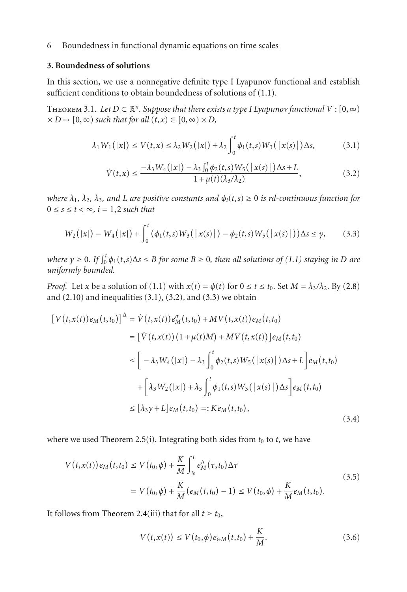### **3. Boundedness of solutions**

<span id="page-5-3"></span>In this section, we use a nonnegative definite type I Lyapunov functional and establish sufficient conditions to obtain boundedness of solutions of  $(1.1)$ .

THEOREM 3.1. Let  $D \subset \mathbb{R}^n$ . Suppose that there exists a type I Lyapunov functional  $V : [0, \infty)$  $\times$  *D*  $\mapsto$  [0,  $\infty$ ) *such that for all*  $(t, x) \in$  [0,  $\infty$ )  $\times$  *D*,

$$
\lambda_1 W_1(|x|) \le V(t,x) \le \lambda_2 W_2(|x|) + \lambda_2 \int_0^t \phi_1(t,s) W_3(|x(s)|) \Delta s, \tag{3.1}
$$

<span id="page-5-2"></span><span id="page-5-1"></span><span id="page-5-0"></span>
$$
\dot{V}(t,x) \le \frac{-\lambda_3 W_4(|x|) - \lambda_3 \int_0^t \phi_2(t,s) W_5(|x(s)|) \Delta s + L}{1 + \mu(t)(\lambda_3/\lambda_2)},
$$
\n(3.2)

*where*  $\lambda_1$ ,  $\lambda_2$ ,  $\lambda_3$ , and *L* are positive constants and  $\phi_i(t,s) \geq 0$  is rd-continuous function for  $0 \leq s \leq t < \infty$ ,  $i = 1, 2$  *such that* 

$$
W_2(|x|) - W_4(|x|) + \int_0^t (\phi_1(t,s)W_3(|x(s)|) - \phi_2(t,s)W_5(|x(s)|))\Delta s \le \gamma,
$$
 (3.3)

 $w$ *here*  $\gamma \geq 0$ *. If*  $\int_0^t \phi_1(t,s) \Delta s \leq B$  *for some*  $B \geq 0$ *, then all solutions of*  $(1.1)$  *staying in D* are *uniformly bounded.*

*Proof.* Let *x* be a solution of [\(1.1\)](#page-0-1) with  $x(t) = \phi(t)$  for  $0 \le t \le t_0$ . Set  $M = \lambda_3/\lambda_2$ . By [\(2.8\)](#page-3-3) and  $(2.10)$  and inequalities  $(3.1)$ ,  $(3.2)$ , and  $(3.3)$  we obtain

$$
[V(t,x(t))e_M(t,t_0)]^{\Delta} = \dot{V}(t,x(t))e_M^{\sigma}(t,t_0) + MV(t,x(t))e_M(t,t_0)
$$
  
\n
$$
= [\dot{V}(t,x(t))(1+\mu(t)M) + MV(t,x(t))]e_M(t,t_0)
$$
  
\n
$$
\leq [-\lambda_3 W_4(|x|) - \lambda_3 \int_0^t \phi_2(t,s)W_5(|x(s)|)\Delta s + L]e_M(t,t_0)
$$
  
\n
$$
+ [\lambda_3 W_2(|x|) + \lambda_3 \int_0^t \phi_1(t,s)W_3(|x(s)|)\Delta s]e_M(t,t_0)
$$
  
\n
$$
\leq [\lambda_3 \gamma + L]e_M(t,t_0) =:Ke_M(t,t_0),
$$
\n(3.4)

where we used [Theorem 2.5\(](#page-4-0)i). Integrating both sides from  $t_0$  to  $t$ , we have

$$
V(t, x(t))e_M(t, t_0) \le V(t_0, \phi) + \frac{K}{M} \int_{t_0}^t e_M^{\Delta}(\tau, t_0) \Delta \tau
$$
  
=  $V(t_0, \phi) + \frac{K}{M}(e_M(t, t_0) - 1) \le V(t_0, \phi) + \frac{K}{M}e_M(t, t_0).$  (3.5)

It follows from [Theorem 2.4\(](#page-4-1)iii) that for all  $t \ge t_0$ ,

$$
V(t, x(t)) \le V(t_0, \phi) e_{\Theta M}(t, t_0) + \frac{K}{M}.
$$
 (3.6)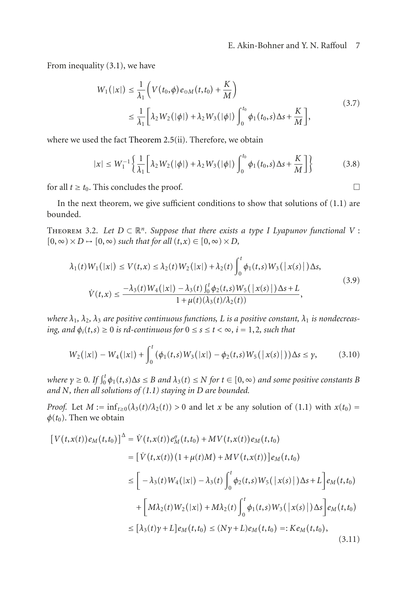### E. Akin-Bohner and Y. N. Raffoul 7

From inequality [\(3.1\)](#page-5-0), we have

$$
W_1(|x|) \le \frac{1}{\lambda_1} \left( V(t_0, \phi) e_{\Theta M}(t, t_0) + \frac{K}{M} \right)
$$
  

$$
\le \frac{1}{\lambda_1} \left[ \lambda_2 W_2(|\phi|) + \lambda_2 W_3(|\phi|) \int_0^{t_0} \phi_1(t_0, s) \Delta s + \frac{K}{M} \right],
$$
 (3.7)

where we used the fact [Theorem 2.5\(](#page-4-0)ii). Therefore, we obtain

$$
|x| \le W_1^{-1} \left\{ \frac{1}{\lambda_1} \left[ \lambda_2 W_2(|\phi|) + \lambda_2 W_3(|\phi|) \int_0^{t_0} \phi_1(t_0, s) \Delta s + \frac{K}{M} \right] \right\}
$$
(3.8)

for all  $t \geq t_0$ . This concludes the proof.  $\Box$ 

In the next theorem, we give sufficient conditions to show that solutions of  $(1.1)$  are bounded.

THEOREM 3.2. Let  $D \subset \mathbb{R}^n$ . Suppose that there exists a type I Lyapunov functional V:  $[0, \infty) \times D \rightarrow [0, \infty)$  *such that for all*  $(t, x) \in [0, \infty) \times D$ *,* 

$$
\lambda_1(t)W_1(|x|) \le V(t,x) \le \lambda_2(t)W_2(|x|) + \lambda_2(t)\int_0^t \phi_1(t,s)W_3(|x(s)|)\Delta s,
$$
  

$$
\dot{V}(t,x) \le \frac{-\lambda_3(t)W_4(|x|) - \lambda_3(t)\int_0^t \phi_2(t,s)W_5(|x(s)|)\Delta s + L}{1 + \mu(t)(\lambda_3(t)/\lambda_2(t))},
$$
\n(3.9)

*where*  $\lambda_1, \lambda_2, \lambda_3$  *are positive continuous functions, L is a positive constant,*  $\lambda_1$  *is nondecreasing, and*  $\phi_i(t,s) \geq 0$  *is rd-continuous for*  $0 \leq s \leq t < \infty$ ,  $i = 1,2$ , such that

$$
W_2(|x|) - W_4(|x|) + \int_0^t (\phi_1(t,s)W_3(|x|) - \phi_2(t,s)W_5(|x(s)|)) \Delta s \le \gamma,
$$
 (3.10)

 $w$ here  $\gamma \geq 0$ . If  $\int_0^t \phi_1(t,s) \Delta s \leq B$  *and*  $\lambda_3(t) \leq N$  *for*  $t \in [0,\infty)$  *and some positive constants B and N, then all solutions of [\(1.1\)](#page-0-1) staying in D are bounded.*

*Proof.* Let  $M := \inf_{t \geq 0} (\lambda_3(t)/\lambda_2(t)) > 0$  and let *x* be any solution of [\(1.1\)](#page-0-1) with  $x(t_0) =$  $\phi(t_0)$ . Then we obtain

$$
[V(t, x(t))e_M(t, t_0)]^{\Delta} = \dot{V}(t, x(t))e_M^{\sigma}(t, t_0) + MV(t, x(t))e_M(t, t_0)
$$
  
\n
$$
= [\dot{V}(t, x(t))(1 + \mu(t)M) + MV(t, x(t))]e_M(t, t_0)
$$
  
\n
$$
\leq [-\lambda_3(t)W_4(|x|) - \lambda_3(t)\int_0^t \phi_2(t, s)W_5(|x(s)|)\Delta s + L]e_M(t, t_0)
$$
  
\n
$$
+ [M\lambda_2(t)W_2(|x|) + M\lambda_2(t)\int_0^t \phi_1(t, s)W_3(|x(s)|)\Delta s]e_M(t, t_0)
$$
  
\n
$$
\leq [\lambda_3(t)\gamma + L]e_M(t, t_0) \leq (N\gamma + L)e_M(t, t_0) =: K e_M(t, t_0),
$$
\n(3.11)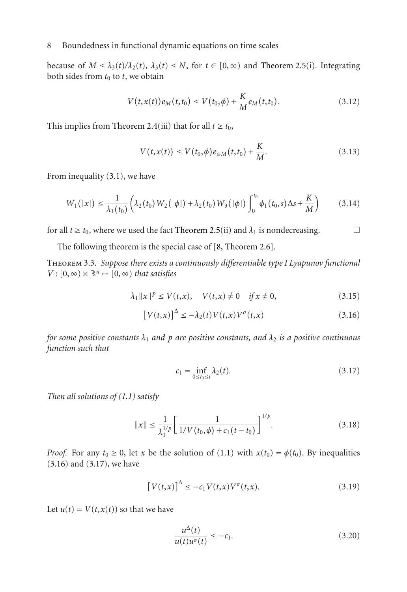because of  $M \leq \lambda_3(t)/\lambda_2(t)$ ,  $\lambda_3(t) \leq N$ , for  $t \in [0, \infty)$  and [Theorem 2.5\(](#page-4-0)i). Integrating both sides from  $t_0$  to  $t$ , we obtain

$$
V(t, x(t))e_M(t, t_0) \le V(t_0, \phi) + \frac{K}{M}e_M(t, t_0).
$$
\n(3.12)

This implies from [Theorem 2.4\(](#page-4-1)iii) that for all  $t \ge t_0$ ,

$$
V(t, x(t)) \le V(t_0, \phi) e_{\Theta M}(t, t_0) + \frac{K}{M}.
$$
 (3.13)

From inequality [\(3.1\)](#page-5-0), we have

$$
W_1(|x|) \leq \frac{1}{\lambda_1(t_0)} \left( \lambda_2(t_0) \, W_2(|\phi|) + \lambda_2(t_0) \, W_3(|\phi|) \int_0^{t_0} \phi_1(t_0, s) \Delta s + \frac{K}{M} \right) \tag{3.14}
$$

for all  $t \ge t_0$ , where we used the fact [Theorem 2.5\(](#page-4-0)ii) and  $\lambda_1$  is nondecreasing.

The following theorem is the special case of [\[8,](#page-17-0) Theorem 2.6].

Theorem 3.3. *Suppose there exists a continuously differentiable type I Lyapunov functional*  $V : [0, \infty) \times \mathbb{R}^n \rightarrow [0, \infty)$  *that satisfies* 

$$
\lambda_1 \|x\|^p \le V(t, x), \quad V(t, x) \ne 0 \quad \text{if } x \ne 0,
$$
\n(3.15)

$$
\left[V(t,x)\right]^{\Delta} \le -\lambda_2(t)V(t,x)V^{\sigma}(t,x) \tag{3.16}
$$

*for some positive constants*  $\lambda_1$  *and*  $p$  *are positive constants, and*  $\lambda_2$  *is a positive continuous function such that*

<span id="page-7-2"></span><span id="page-7-1"></span><span id="page-7-0"></span>
$$
c_1 = \inf_{0 \le t_0 \le t} \lambda_2(t). \tag{3.17}
$$

*Then all solutions of [\(1.1\)](#page-0-1) satisfy*

$$
||x|| \le \frac{1}{\lambda_1^{1/p}} \left[ \frac{1}{1/V(t_0, \phi) + c_1(t - t_0)} \right]^{1/p}.
$$
 (3.18)

*Proof.* For any  $t_0 \geq 0$ , let *x* be the solution of [\(1.1\)](#page-0-1) with  $x(t_0) = \phi(t_0)$ . By inequalities [\(3.16\)](#page-7-0) and [\(3.17\)](#page-7-1), we have

$$
\left[V(t,x)\right]^{\Delta} \leq -c_1 V(t,x)V^{\sigma}(t,x). \tag{3.19}
$$

Let  $u(t) = V(t, x(t))$  so that we have

$$
\frac{u^{\Delta}(t)}{u(t)u^{\sigma}(t)} \le -c_1.
$$
\n(3.20)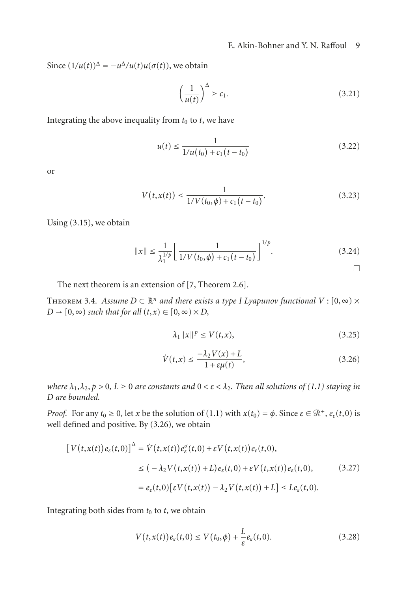### E. Akin-Bohner and Y. N. Raffoul 9

Since  $(1/u(t))^{\Delta} = -u^{\Delta}/u(t)u(\sigma(t))$ , we obtain

$$
\left(\frac{1}{u(t)}\right)^{\Delta} \ge c_1. \tag{3.21}
$$

Integrating the above inequality from  $t_0$  to  $t$ , we have

$$
u(t) \le \frac{1}{1/u(t_0) + c_1(t - t_0)}
$$
\n(3.22)

or

$$
V(t, x(t)) \le \frac{1}{1/V(t_0, \phi) + c_1(t - t_0)}.\tag{3.23}
$$

Using [\(3.15\)](#page-7-2), we obtain

$$
||x|| \le \frac{1}{\lambda_1^{1/p}} \left[ \frac{1}{1/V(t_0, \phi) + c_1(t - t_0)} \right]^{1/p}.
$$
 (3.24)

<span id="page-8-1"></span><span id="page-8-0"></span> $\Box$ 

The next theorem is an extension of [\[7,](#page-17-7) Theorem 2.6].

<span id="page-8-2"></span>THEOREM 3.4. *Assume*  $D \subset \mathbb{R}^n$  *and there exists a type I Lyapunov functional*  $V : [0, \infty) \times$  $D \rightarrow [0, \infty)$  *such that for all*  $(t, x) \in [0, \infty) \times D$ *,* 

$$
\lambda_1 \|x\|^p \le V(t, x),\tag{3.25}
$$

$$
\dot{V}(t,x) \le \frac{-\lambda_2 V(x) + L}{1 + \varepsilon \mu(t)},\tag{3.26}
$$

*where*  $\lambda_1, \lambda_2, p > 0$ ,  $L \ge 0$  *are constants and*  $0 < \varepsilon < \lambda_2$ . Then all solutions of [\(1.1\)](#page-0-1) *staying in D are bounded.*

*Proof.* For any  $t_0 \ge 0$ , let *x* be the solution of [\(1.1\)](#page-0-1) with  $x(t_0) = \phi$ . Since  $\varepsilon \in \mathbb{R}^+$ ,  $e_{\varepsilon}(t,0)$  is well defined and positive. By [\(3.26\)](#page-8-0), we obtain

$$
\begin{aligned} \left[V(t,x(t))e_{\varepsilon}(t,0)\right]^{\Delta} &= \dot{V}(t,x(t))e_{\varepsilon}^{\sigma}(t,0) + \varepsilon V(t,x(t))e_{\varepsilon}(t,0),\\ &\leq \big(-\lambda_2 V(t,x(t)) + L\big)e_{\varepsilon}(t,0) + \varepsilon V\big(t,x(t)\big)e_{\varepsilon}(t,0),\end{aligned} \tag{3.27}
$$
\n
$$
= e_{\varepsilon}(t,0)\big[\varepsilon V\big(t,x(t)\big) - \lambda_2 V\big(t,x(t)\big) + L\big] \leq L e_{\varepsilon}(t,0).
$$

Integrating both sides from  $t_0$  to  $t$ , we obtain

$$
V(t, x(t))e_{\varepsilon}(t,0) \le V(t_0, \phi) + \frac{L}{\varepsilon}e_{\varepsilon}(t,0).
$$
\n(3.28)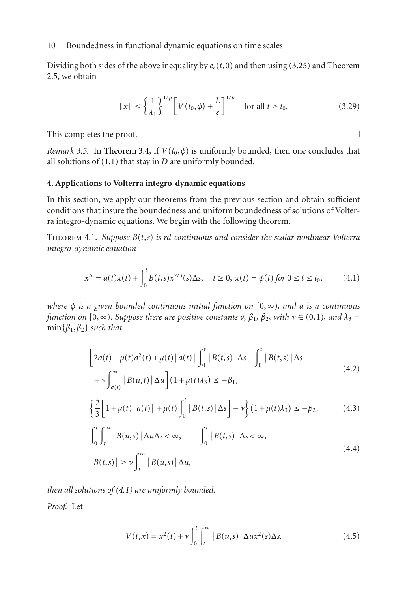Dividing both sides of the above inequality by  $e_{\varepsilon}(t,0)$  and then using [\(3.25\)](#page-8-1) and [Theorem](#page-4-0) [2.5,](#page-4-0) we obtain

$$
||x|| \le \left\{\frac{1}{\lambda_1}\right\}^{1/p} \left[ V(t_0, \phi) + \frac{L}{\varepsilon} \right]^{1/p} \quad \text{for all } t \ge t_0.
$$
 (3.29)

<span id="page-9-6"></span>This completes the proof.  $\Box$ 

<span id="page-9-1"></span>

*Remark 3.5.* In [Theorem 3.4,](#page-8-2) if  $V(t_0, \phi)$  is uniformly bounded, then one concludes that all solutions of [\(1.1\)](#page-0-1) that stay in *D* are uniformly bounded.

#### **4. Applications to Volterra integro-dynamic equations**

In this section, we apply our theorems from the previous section and obtain sufficient conditions that insure the boundedness and uniform boundedness of solutions of Volterra integro-dynamic equations. We begin with the following theorem.

<span id="page-9-0"></span>Theorem 4.1. *Suppose B*(*t*,*s*) *is rd-continuous and consider the scalar nonlinear Volterra integro-dynamic equation*

$$
x^{\Delta} = a(t)x(t) + \int_0^t B(t,s)x^{2/3}(s)\Delta s, \quad t \ge 0, \, x(t) = \phi(t) \text{ for } 0 \le t \le t_0,\tag{4.1}
$$

*where φ is a given bounded continuous initial function on* [0,∞)*, and a is a continuous function on*  $[0, \infty)$ *. Suppose there are positive constants ν*,  $\beta_1$ ,  $\beta_2$ *, with*  $\nu \in (0,1)$ *, and*  $\lambda_3 =$ min{*β*1,*β*2} *such that*

<span id="page-9-2"></span>
$$
\left[2a(t) + \mu(t)a^{2}(t) + \mu(t) |a(t)| \int_{0}^{t} |B(t,s)| \Delta s + \int_{0}^{t} |B(t,s)| \Delta s + \nu \int_{\sigma(t)}^{\infty} |B(u,t)| \Delta u \right] (1 + \mu(t)\lambda_{3}) \leq -\beta_{1},
$$
\n(4.2)

<span id="page-9-3"></span>
$$
\left\{\frac{2}{3}\left[1+\mu(t)\left|a(t)\right|+\mu(t)\int_0^t\left|B(t,s)\left|\Delta s\right.\right]-\nu\right\}\left(1+\mu(t)\lambda_3\right)\leq-\beta_2,\tag{4.3}
$$

$$
\int_{0}^{t} \int_{t}^{\infty} |B(u,s)| \Delta u \Delta s < \infty, \qquad \int_{0}^{t} |B(t,s)| \Delta s < \infty,
$$
  

$$
|B(t,s)| \ge \nu \int_{t}^{\infty} |B(u,s)| \Delta u,
$$
 (4.4)

*then all solutions of [\(4.1\)](#page-9-1) are uniformly bounded.*

*Proof.* Let

<span id="page-9-5"></span><span id="page-9-4"></span>
$$
V(t,x) = x2(t) + v \int_0^t \int_t^{\infty} |B(u,s)| \Delta u x2(s) \Delta s.
$$
 (4.5)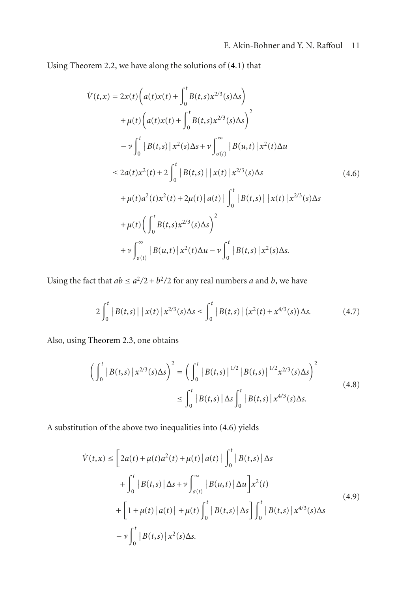Using [Theorem 2.2,](#page-3-2) we have along the solutions of [\(4.1\)](#page-9-1) that

<span id="page-10-0"></span>
$$
\dot{V}(t,x) = 2x(t)\left(a(t)x(t) + \int_0^t B(t,s)x^{2/3}(s)\Delta s\right) \n+ \mu(t)\left(a(t)x(t) + \int_0^t B(t,s)x^{2/3}(s)\Delta s\right)^2 \n- \nu \int_0^t |B(t,s)|x^2(s)\Delta s + \nu \int_{\sigma(t)}^\infty |B(u,t)|x^2(t)\Delta u \n\leq 2a(t)x^2(t) + 2\int_0^t |B(t,s)| |x(t)|x^{2/3}(s)\Delta s \n+ \mu(t)a^2(t)x^2(t) + 2\mu(t)|a(t)| \int_0^t |B(t,s)| |x(t)|x^{2/3}(s)\Delta s \n+ \mu(t)\left(\int_0^t B(t,s)x^{2/3}(s)\Delta s\right)^2 \n+ \nu \int_{\sigma(t)}^\infty |B(u,t)|x^2(t)\Delta u - \nu \int_0^t |B(t,s)|x^2(s)\Delta s.
$$

Using the fact that  $ab \le a^2/2 + b^2/2$  for any real numbers *a* and *b*, we have

$$
2\int_0^t |B(t,s)| |x(t)| x^{2/3}(s) \Delta s \le \int_0^t |B(t,s)| (x^2(t) + x^{4/3}(s)) \Delta s. \tag{4.7}
$$

Also, using [Theorem 2.3,](#page-4-2) one obtains

$$
\left(\int_0^t |B(t,s)| x^{2/3}(s) \Delta s\right)^2 = \left(\int_0^t |B(t,s)|^{1/2} |B(t,s)|^{1/2} x^{2/3}(s) \Delta s\right)^2
$$
  

$$
\leq \int_0^t |B(t,s)| \Delta s \int_0^t |B(t,s)| x^{4/3}(s) \Delta s.
$$
 (4.8)

A substitution of the above two inequalities into [\(4.6\)](#page-10-0) yields

<span id="page-10-1"></span>
$$
\dot{V}(t,x) \le \left[2a(t) + \mu(t)a^{2}(t) + \mu(t) |a(t)| \int_{0}^{t} |B(t,s)| \Delta s + \int_{0}^{t} |B(t,s)| \Delta s + \mu \int_{\sigma(t)}^{\infty} |B(u,t)| \Delta u \right] x^{2}(t) + \left[1 + \mu(t) |a(t)| + \mu(t) \int_{0}^{t} |B(t,s)| \Delta s \right] \int_{0}^{t} |B(t,s)| x^{4/3}(s) \Delta s - \nu \int_{0}^{t} |B(t,s)| x^{2}(s) \Delta s.
$$
\n(4.9)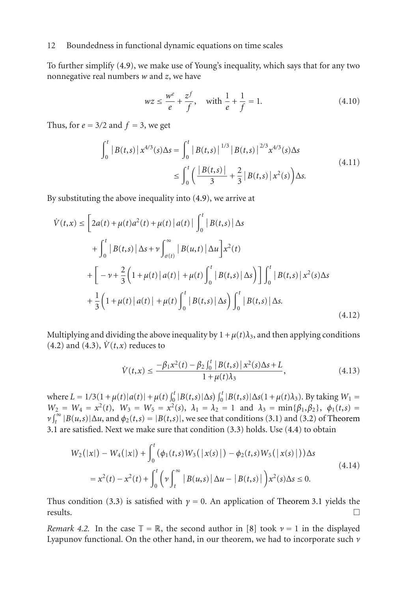To further simplify [\(4.9\)](#page-10-1), we make use of Young's inequality, which says that for any two nonnegative real numbers *w* and *z*, we have

$$
wz \le \frac{w^e}{e} + \frac{zf}{f}
$$
, with  $\frac{1}{e} + \frac{1}{f} = 1$ . (4.10)

Thus, for  $e = 3/2$  and  $f = 3$ , we get

$$
\int_0^t |B(t,s)| x^{4/3}(s) \Delta s = \int_0^t |B(t,s)|^{1/3} |B(t,s)|^{2/3} x^{4/3}(s) \Delta s
$$
\n
$$
\leq \int_0^t \left( \frac{|B(t,s)|}{3} + \frac{2}{3} |B(t,s)| x^2(s) \right) \Delta s.
$$
\n(4.11)

By substituting the above inequality into [\(4.9\)](#page-10-1), we arrive at

$$
\dot{V}(t,x) \le \left[2a(t) + \mu(t)a^{2}(t) + \mu(t) |a(t)| \int_{0}^{t} |B(t,s)| \Delta s + \int_{0}^{t} |B(t,s)| \Delta s + \nu \int_{\sigma(t)}^{\infty} |B(u,t)| \Delta u \right] x^{2}(t) + \left[ -\nu + \frac{2}{3} \left(1 + \mu(t) |a(t)| + \mu(t) \int_{0}^{t} |B(t,s)| \Delta s \right) \right] \int_{0}^{t} |B(t,s)| x^{2}(s) \Delta s + \frac{1}{3} \left(1 + \mu(t) |a(t)| + \mu(t) \int_{0}^{t} |B(t,s)| \Delta s \right) \int_{0}^{t} |B(t,s)| \Delta s.
$$
\n(4.12)

Multiplying and dividing the above inequality by  $1 + \mu(t)\lambda_3$ , and then applying conditions  $(4.2)$  and  $(4.3)$ ,  $\dot{V}(t,x)$  reduces to

$$
\dot{V}(t,x) \le \frac{-\beta_1 x^2(t) - \beta_2 \int_0^t |B(t,s)| x^2(s) \Delta s + L}{1 + \mu(t)\lambda_3},\tag{4.13}
$$

where  $L = 1/3(1 + \mu(t)|a(t)| + \mu(t)\int_0^t |B(t,s)|\Delta s) \int_0^t |B(t,s)|\Delta s(1 + \mu(t)\lambda_3)$ . By taking  $W_1 =$ *W*<sub>2</sub> = *W*<sub>4</sub> =  $x^2(t)$ , *W*<sub>3</sub> = *W*<sub>5</sub> =  $x^2(s)$ ,  $\lambda_1 = \lambda_2 = 1$  and  $\lambda_3 = \min{\{\beta_1, \beta_2\}}$ ,  $\phi_1(t,s)$  $\nu$   $\int_t^{\infty} |B(u,s)| \Delta u$ , and  $\phi_2(t,s) = |B(t,s)|$ , we see that conditions [\(3.1\)](#page-5-0) and [\(3.2\)](#page-5-1) of [Theorem](#page-5-3) [3.1](#page-5-3) are satisfied. Next we make sure that condition [\(3.3\)](#page-5-2) holds. Use [\(4.4\)](#page-9-4) to obtain

$$
W_2(|x|) - W_4(|x|) + \int_0^t (\phi_1(t,s)W_3(|x(s)|) - \phi_2(t,s)W_5(|x(s)|))\Delta s
$$
  
=  $x^2(t) - x^2(t) + \int_0^t (\nu \int_t^{\infty} |B(u,s)| \Delta u - |B(t,s)|) x^2(s) \Delta s \le 0.$  (4.14)

Thus condition [\(3.3\)](#page-5-2) is satisfied with *γ* = 0. An application of [Theorem 3.1](#page-5-3) yields the results.  $\Box$  results.

*Remark 4.2.* In the case  $\mathbb{T} = \mathbb{R}$ , the second author in [\[8\]](#page-17-0) took  $\nu = 1$  in the displayed Lyapunov functional. On the other hand, in our theorem, we had to incorporate such *ν*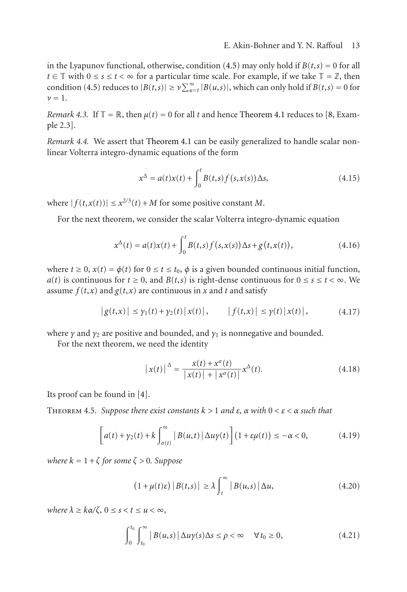in the Lyapunov functional, otherwise, condition [\(4.5\)](#page-9-5) may only hold if  $B(t,s) = 0$  for all *t* ∈  $\mathbb T$  with  $0 \le s \le t < \infty$  for a particular time scale. For example, if we take  $\mathbb T = \mathbb Z$ , then condition [\(4.5\)](#page-9-5) reduces to  $|B(t,s)| \geq \nu \sum_{u=t}^{\infty} |B(u,s)|$ , which can only hold if  $B(t,s) = 0$  for  $\nu = 1$ .

*Remark 4.3.* If  $\mathbb{T} = \mathbb{R}$ , then  $\mu(t) = 0$  for all *t* and hence [Theorem 4.1](#page-9-0) reduces to [\[8](#page-17-0), Example 2.3].

*Remark 4.4.* We assert that [Theorem 4.1](#page-9-0) can be easily generalized to handle scalar nonlinear Volterra integro-dynamic equations of the form

<span id="page-12-0"></span>
$$
x^{\Delta} = a(t)x(t) + \int_0^t B(t,s)f(s,x(s))\Delta s,
$$
\n(4.15)

where  $|f(t, x(t))| \leq x^{2/3}(t) + M$  for some positive constant *M*.

For the next theorem, we consider the scalar Volterra integro-dynamic equation

$$
x^{\Delta}(t) = a(t)x(t) + \int_0^t B(t,s)f(s,x(s))\Delta s + g(t,x(t)),
$$
\n(4.16)

where  $t \geq 0$ ,  $x(t) = \phi(t)$  for  $0 \leq t \leq t_0$ ,  $\phi$  is a given bounded continuous initial function, *a*(*t*) is continuous for  $t \ge 0$ , and  $B(t,s)$  is right-dense continuous for  $0 \le s \le t < \infty$ . We assume  $f(t, x)$  and  $g(t, x)$  are continuous in *x* and *t* and satisfy

$$
|g(t,x)| \le \gamma_1(t) + \gamma_2(t) |x(t)|, \qquad |f(t,x)| \le \gamma(t) |x(t)|, \tag{4.17}
$$

where  $\gamma$  and  $\gamma_2$  are positive and bounded, and  $\gamma_1$  is nonnegative and bounded.

For the next theorem, we need the identity

$$
|x(t)|^{\Delta} = \frac{x(t) + x^{\sigma}(t)}{|x(t)| + |x^{\sigma}(t)|} x^{\Delta}(t).
$$
 (4.18)

Its proof can be found in [\[4](#page-17-8)].

Theorem 4.5. *Suppose there exist constants k >* 1 *and ε, α with* 0 *<ε<α such that*

$$
\[a(t) + \gamma_2(t) + k \int_{\sigma(t)}^{\infty} |B(u,t)| \Delta u \gamma(t)\] (1 + \varepsilon \mu(t)) \leq -\alpha < 0, \tag{4.19}
$$

*where*  $k = 1 + \zeta$  *for some*  $\zeta > 0$ *. Suppose* 

$$
(1 + \mu(t)\varepsilon) |B(t,s)| \ge \lambda \int_{t}^{\infty} |B(u,s)| \Delta u,
$$
\n(4.20)

*where*  $λ ≥ kα/ζ, 0 ≤ s < t ≤ u < ∞$ ,

$$
\int_0^{t_0} \int_{t_0}^{\infty} |B(u,s)| \Delta u \gamma(s) \Delta s \le \rho < \infty \quad \forall \, t_0 \ge 0,\tag{4.21}
$$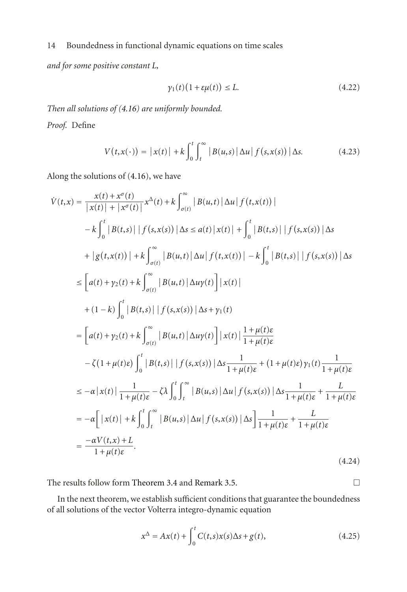*and for some positive constant L,*

$$
\gamma_1(t)\big(1+\varepsilon\mu(t)\big)\leq L.\tag{4.22}
$$

*Then all solutions of [\(4.16\)](#page-12-0) are uniformly bounded. Proof.* Define

$$
V(t,x(\cdot)) = |x(t)| + k \int_0^t \int_t^\infty |B(u,s)| \Delta u | f(s,x(s)) | \Delta s. \tag{4.23}
$$

Along the solutions of [\(4.16\)](#page-12-0), we have

$$
\dot{V}(t,x) = \frac{x(t) + x^{\sigma}(t)}{|x(t)| + |x^{\sigma}(t)|}x^{\Delta}(t) + k \int_{\sigma(t)}^{\infty} |B(u,t)| \Delta u |f(t,x(t))|
$$
\n
$$
- k \int_{0}^{t} |B(t,s)| |f(s,x(s))| \Delta s \le a(t) |x(t)| + \int_{0}^{t} |B(t,s)| |f(s,x(s))| \Delta s
$$
\n
$$
+ |g(t,x(t))| + k \int_{\sigma(t)}^{\infty} |B(u,t)| \Delta u |f(t,x(t))| - k \int_{0}^{t} |B(t,s)| |f(s,x(s))| \Delta s
$$
\n
$$
\le [a(t) + y_2(t) + k \int_{\sigma(t)}^{\infty} |B(u,t)| \Delta u y(t)] |x(t)|
$$
\n
$$
+ (1-k) \int_{0}^{t} |B(t,s)| |f(s,x(s))| \Delta s + y_1(t)
$$
\n
$$
= [a(t) + y_2(t) + k \int_{\sigma(t)}^{\infty} |B(u,t)| \Delta u y(t)] |x(t)| \frac{1 + \mu(t)\varepsilon}{1 + \mu(t)\varepsilon}
$$
\n
$$
- \zeta(1 + \mu(t)\varepsilon) \int_{0}^{t} |B(t,s)| |f(s,x(s))| \Delta s \frac{1}{1 + \mu(t)\varepsilon} + (1 + \mu(t)\varepsilon) y_1(t) \frac{1}{1 + \mu(t)\varepsilon}
$$
\n
$$
\le -\alpha |x(t)| \frac{1}{1 + \mu(t)\varepsilon} - \zeta \lambda \int_{0}^{t} \int_{t}^{\infty} |B(u,s)| \Delta u |f(s,x(s))| \Delta s \frac{1}{1 + \mu(t)\varepsilon} + \frac{L}{1 + \mu(t)\varepsilon}
$$
\n
$$
= -\alpha [x(t)| + k \int_{0}^{t} \int_{t}^{\infty} |B(u,s)| \Delta u |f(s,x(s))| \Delta s] \frac{1}{1 + \mu(t)\varepsilon} + \frac{L}{1 + \mu(t)\varepsilon}
$$
\n
$$
= \frac{-\alpha V(t,x) + L}{1 + \mu(t)\varepsilon}.
$$
\n(4.24)

The results follow form [Theorem 3.4](#page-8-2) and [Remark 3.5.](#page-9-6)

<span id="page-13-0"></span> $\Box$ 

In the next theorem, we establish sufficient conditions that guarantee the boundedness of all solutions of the vector Volterra integro-dynamic equation

$$
x^{\Delta} = Ax(t) + \int_0^t C(t,s)x(s)\Delta s + g(t),
$$
\n(4.25)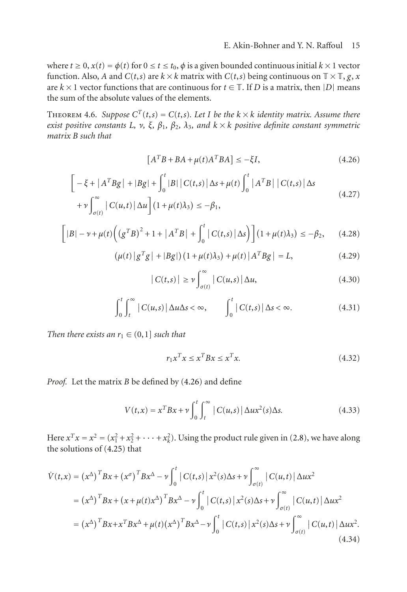where  $t \geq 0$ ,  $x(t) = \phi(t)$  for  $0 \leq t \leq t_0$ ,  $\phi$  is a given bounded continuous initial  $k \times 1$  vector function. Also, *A* and *C*(*t*,*s*) are  $k \times k$  matrix with *C*(*t*,*s*) being continuous on  $\mathbb{T} \times \mathbb{T}$ , *g*, *x* are  $k \times 1$  vector functions that are continuous for  $t \in \mathbb{T}$ . If *D* is a matrix, then |*D*| means the sum of the absolute values of the elements.

<span id="page-14-6"></span>THEOREM 4.6. *Suppose*  $C^{T}(t,s) = C(t,s)$ *. Let I* be the  $k \times k$  *identity matrix. Assume there exist positive constants L, ν, ξ, β*1*, β*2*, λ*3*, and k* × *k positive definite constant symmetric matrix B such that*

<span id="page-14-0"></span>
$$
[ATB + BA + \mu(t)ATBA] \le -\xi I,
$$
\n(4.26)

$$
\begin{aligned}\n\left[ -\xi + |A^T B g| + |B g| + \int_0^t |B| |C(t,s)| \Delta s + \mu(t) \int_0^t |A^T B| |C(t,s)| \Delta s \\
&+ \nu \int_{\sigma(t)}^{\infty} |C(u,t)| \Delta u \right](1 + \mu(t) \lambda_3) \leq -\beta_1,\n\end{aligned}
$$
\n(4.27)

$$
\left[|B| - \nu + \mu(t)\left(\left(g^T B\right)^2 + 1 + \left|A^T B\right| + \int_0^t \left|C(t,s)\right|\Delta s\right)\right] \left(1 + \mu(t)\lambda_3\right) \le -\beta_2,\qquad(4.28)
$$

$$
(\mu(t) | gTg | + |Bg|) (1 + \mu(t)\lambda_3) + \mu(t) |ATBg | = L,
$$
 (4.29)

<span id="page-14-4"></span><span id="page-14-3"></span><span id="page-14-2"></span>
$$
|C(t,s)| \ge \nu \int_{\sigma(t)}^{\infty} |C(u,s)| \Delta u,
$$
\n(4.30)

$$
\int_0^t \int_t^\infty |C(u,s)| \Delta u \Delta s < \infty, \qquad \int_0^t |C(t,s)| \Delta s < \infty. \tag{4.31}
$$

*Then there exists an*  $r_1 \in (0,1]$  *such that* 

<span id="page-14-5"></span>
$$
r_1 x^T x \le x^T B x \le x^T x. \tag{4.32}
$$

*Proof.* Let the matrix *B* be defined by [\(4.26\)](#page-14-0) and define

 $\overline{\phantom{a}}$ 

<span id="page-14-1"></span>
$$
V(t,x) = x^T B x + \nu \int_0^t \int_t^\infty |C(u,s)| \Delta u x^2(s) \Delta s. \tag{4.33}
$$

Here  $x^T x = x^2 = (x_1^2 + x_2^2 + \dots + x_k^2)$ . Using the product rule given in [\(2.8\)](#page-3-3), we have along the solutions of [\(4.25\)](#page-13-0) that

$$
\dot{V}(t,x) = (x^{\Delta})^{T}Bx + (x^{\sigma})^{T}Bx^{\Delta} - \nu \int_{0}^{t} |C(t,s)| x^{2}(s) \Delta s + \nu \int_{\sigma(t)}^{\infty} |C(u,t)| \Delta u x^{2}
$$
\n
$$
= (x^{\Delta})^{T}Bx + (x + \mu(t)x^{\Delta})^{T}Bx^{\Delta} - \nu \int_{0}^{t} |C(t,s)| x^{2}(s) \Delta s + \nu \int_{\sigma(t)}^{\infty} |C(u,t)| \Delta u x^{2}
$$
\n
$$
= (x^{\Delta})^{T}Bx + x^{T}Bx^{\Delta} + \mu(t)(x^{\Delta})^{T}Bx^{\Delta} - \nu \int_{0}^{t} |C(t,s)| x^{2}(s) \Delta s + \nu \int_{\sigma(t)}^{\infty} |C(u,t)| \Delta u x^{2}.
$$
\n(4.34)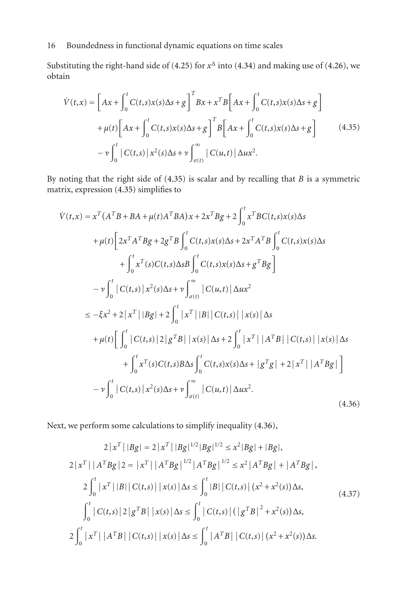Substituting the right-hand side of [\(4.25\)](#page-13-0) for  $x^{\Delta}$  into [\(4.34\)](#page-14-1) and making use of [\(4.26\)](#page-14-0), we obtain

<span id="page-15-0"></span>
$$
\dot{V}(t,x) = \left[Ax + \int_0^t C(t,s)x(s)\Delta s + g\right]^T Bx + x^T B\left[Ax + \int_0^t C(t,s)x(s)\Delta s + g\right]
$$

$$
+ \mu(t)\left[Ax + \int_0^t C(t,s)x(s)\Delta s + g\right]^T B\left[Ax + \int_0^t C(t,s)x(s)\Delta s + g\right]
$$

$$
- \nu \int_0^t \left|C(t,s)\right| x^2(s)\Delta s + \nu \int_{\sigma(t)}^\infty \left|C(u,t)\right| \Delta u x^2.
$$
\n(4.35)

By noting that the right side of [\(4.35\)](#page-15-0) is scalar and by recalling that *B* is a symmetric matrix, expression [\(4.35\)](#page-15-0) simplifies to

$$
\dot{V}(t,x) = x^{T}(A^{T}B + BA + \mu(t)A^{T}BA)x + 2x^{T}Bg + 2\int_{0}^{t} x^{T}BC(t,s)x(s)\Delta s \n+ \mu(t)\left[2x^{T}A^{T}Bg + 2g^{T}B\int_{0}^{t} C(t,s)x(s)\Delta s + 2x^{T}A^{T}B\int_{0}^{t} C(t,s)x(s)\Delta s \n+ \int_{0}^{t} x^{T}(s)C(t,s)\Delta sB\int_{0}^{t} C(t,s)x(s)\Delta s + g^{T}Bg\right] \n- \nu \int_{0}^{t} |C(t,s)|x^{2}(s)\Delta s + \nu \int_{\sigma(t)}^{\infty} |C(u,t)|\Delta ux^{2} \n\leq -\xi x^{2} + 2|x^{T}||Bg| + 2\int_{0}^{t} |x^{T}||B||C(t,s)||x(s)|\Delta s \n+ \mu(t)\left[\int_{0}^{t} |C(t,s)|2|g^{T}B||x(s)|\Delta s + 2\int_{0}^{t} |x^{T}||A^{T}B||C(t,s)||x(s)|\Delta s \n+ \int_{0}^{t} x^{T}(s)C(t,s)B\Delta s\int_{0}^{t} C(t,s)x(s)\Delta s + |g^{T}g| + 2|x^{T}||A^{T}Bg|\right] \n- \nu \int_{0}^{t} |C(t,s)|x^{2}(s)\Delta s + \nu \int_{\sigma(t)}^{\infty} |C(u,t)|\Delta ux^{2}.
$$
\n(4.36)

Next, we perform some calculations to simplify inequality [\(4.36\)](#page-15-1),

<span id="page-15-1"></span>
$$
2|x^{T}||Bg| = 2|x^{T}||Bg|^{1/2}|Bg|^{1/2} \leq x^{2}|Bg| + |Bg|,
$$
  
\n
$$
2|x^{T}||A^{T}Bg|2 = |x^{T}||A^{T}Bg|^{1/2}|A^{T}Bg|^{1/2} \leq x^{2}|A^{T}Bg| + |A^{T}Bg|,
$$
  
\n
$$
2\int_{0}^{t} |x^{T}||B||C(t,s)||x(s)| \Delta s \leq \int_{0}^{t} |B||C(t,s)| (x^{2} + x^{2}(s)) \Delta s,
$$
  
\n
$$
\int_{0}^{t} |C(t,s)|2|g^{T}B||x(s)| \Delta s \leq \int_{0}^{t} |C(t,s)| (|g^{T}B|^{2} + x^{2}(s)) \Delta s,
$$
  
\n
$$
2\int_{0}^{t} |x^{T}||A^{T}B||C(t,s)||x(s)| \Delta s \leq \int_{0}^{t} |A^{T}B||C(t,s)| (x^{2} + x^{2}(s)) \Delta s.
$$
 (4.37)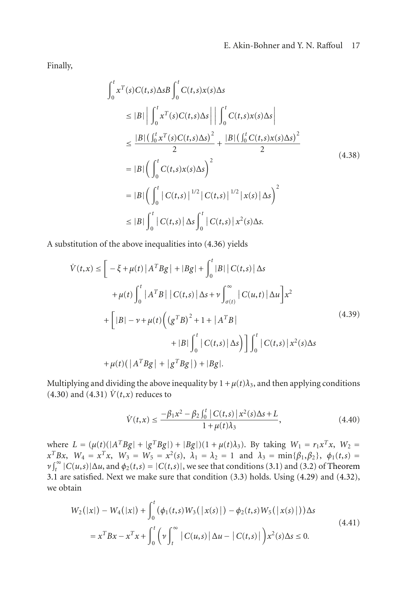Finally,

$$
\int_{0}^{t} x^{T}(s)C(t,s)\Delta sB\int_{0}^{t} C(t,s)x(s)\Delta s
$$
\n
$$
\leq |B| \left| \int_{0}^{t} x^{T}(s)C(t,s)\Delta s \right| \left| \int_{0}^{t} C(t,s)x(s)\Delta s \right|
$$
\n
$$
\leq \frac{|B| \left( \int_{0}^{t} x^{T}(s)C(t,s)\Delta s \right)^{2}}{2} + \frac{|B| \left( \int_{0}^{t} C(t,s)x(s)\Delta s \right)^{2}}{2}
$$
\n
$$
= |B| \left( \int_{0}^{t} C(t,s)x(s)\Delta s \right)^{2}
$$
\n
$$
= |B| \left( \int_{0}^{t} |C(t,s)|^{1/2} |C(t,s)|^{1/2} |x(s)| \Delta s \right)^{2}
$$
\n
$$
\leq |B| \int_{0}^{t} |C(t,s)| \Delta s \int_{0}^{t} |C(t,s)| x^{2}(s)\Delta s.
$$
\n(4.38)

A substitution of the above inequalities into [\(4.36\)](#page-15-1) yields

$$
\dot{V}(t,x) \leq \left[ -\xi + \mu(t) |A^T B g| + |Bg| + \int_0^t |B| |C(t,s)| \Delta s \n+ \mu(t) \int_0^t |A^T B| |C(t,s)| \Delta s + \nu \int_{\sigma(t)}^{\infty} |C(u,t)| \Delta u \right] x^2 \n+ \left[ |B| - \nu + \mu(t) \left( (g^T B)^2 + 1 + |A^T B| \n+ |B| \int_0^t |C(t,s)| \Delta s \right) \right] \int_0^t |C(t,s)| x^2(s) \Delta s \n+ \mu(t) (|A^T B g| + |g^T B g|) + |B g|.
$$
\n(4.39)

Multiplying and dividing the above inequality by  $1 + \mu(t)\lambda_3$ , and then applying conditions  $(4.30)$  and  $(4.31)$   $\dot{V}(t,x)$  reduces to

$$
\dot{V}(t,x) \le \frac{-\beta_1 x^2 - \beta_2 \int_0^t |C(t,s)| x^2(s) \Delta s + L}{1 + \mu(t)\lambda_3},
$$
\n(4.40)

where  $L = (\mu(t)(|A^T B g| + |g^T B g|) + |B g|)(1 + \mu(t)\lambda_3)$ . By taking  $W_1 = r_1 x^T x$ ,  $W_2 =$  $x^T B x$ ,  $W_4 = x^T x$ ,  $W_3 = W_5 = x^2(s)$ ,  $\lambda_1 = \lambda_2 = 1$  and  $\lambda_3 = \min{\{\beta_1, \beta_2\}}$ ,  $\phi_1(t,s) =$  $\nu$   $\int_t^{\infty}$  |*C*(*u*,*s*)|Δ*u*, and  $\phi_2(t,s)$  = |*C*(*t*,*s*)|, we see that conditions [\(3.1\)](#page-5-0) and [\(3.2\)](#page-5-1) of [Theorem](#page-5-3) [3.1](#page-5-3) are satisfied. Next we make sure that condition [\(3.3\)](#page-5-2) holds. Using [\(4.29\)](#page-14-4) and [\(4.32\)](#page-14-5), we obtain

$$
W_2(|x|) - W_4(|x|) + \int_0^t (\phi_1(t,s)W_3(|x(s)|) - \phi_2(t,s)W_5(|x(s)|))\Delta s
$$
  
=  $x^T B x - x^T x + \int_0^t (\nu \int_t^\infty |C(u,s)| \Delta u - |C(t,s)|) x^2(s) \Delta s \le 0.$  (4.41)